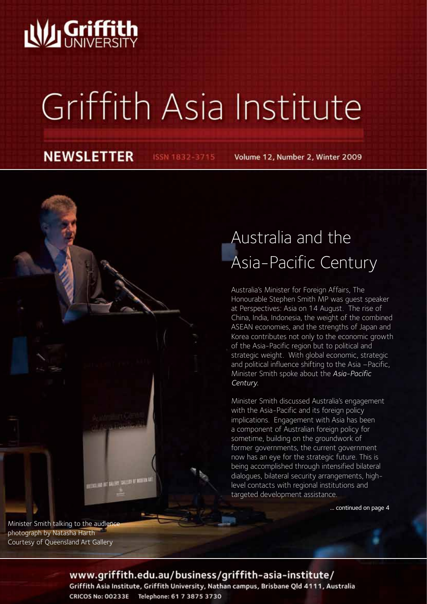# **Ny Griffith**

# Griffith Asia Institute

**NEWSLETTER** ISSN 1832-3715

Volume 12, Number 2, Winter 2009



# Australia and the Asia-Pacific Century

Australia's Minister for Foreign Affairs, The Honourable Stephen Smith MP was guest speaker at Perspectives: Asia on 14 August. The rise of China, India, Indonesia, the weight of the combined ASEAN economies, and the strengths of Japan and Korea contributes not only to the economic growth of the Asia-Pacific region but to political and strategic weight. With global economic, strategic and political influence shifting to the Asia –Pacific, Minister Smith spoke about the *Asia-Pacific Century.*

Minister Smith discussed Australia's engagement with the Asia-Pacific and its foreign policy implications. Engagement with Asia has been a component of Australian foreign policy for sometime, building on the groundwork of former governments, the current government now has an eye for the strategic future. This is being accomplished through intensified bilateral dialogues, bilateral security arrangements, highlevel contacts with regional institutions and targeted development assistance.

... continued on page 4

Minister Smith talking to the audience photograph by Natasha Harth Courtesy of Queensland Art Gallery

## www.griffith.edu.au/business/griffith-asia-institute/

Griffith Asia Institute, Griffith University, Nathan campus, Brisbane Qld 4111, Australia **CRICOS No: 00233E** Telephone: 61 7 3875 3730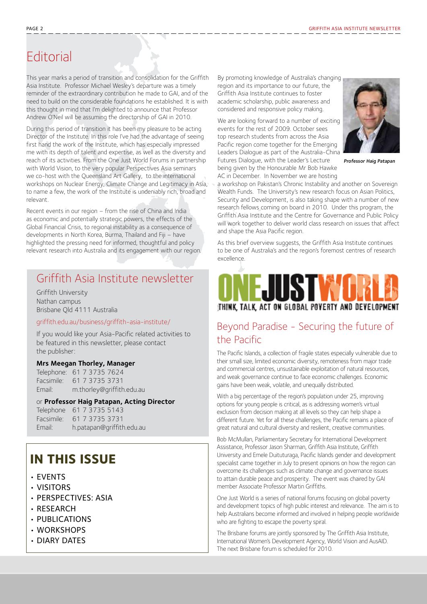# **Editorial**

This year marks a period of transition and consolidation for the Griffith Asia Institute. Professor Michael Wesley's departure was a timely reminder of the extraordinary contribution he made to GAI, and of the need to build on the considerable foundations he established. It is with this thought in mind that I'm delighted to announce that Professor Andrew O'Neil will be assuming the directorship of GAI in 2010.

During this period of transition it has been my pleasure to be acting Director of the Institute. In this role I've had the advantage of seeing first hand the work of the Institute, which has especially impressed me with its depth of talent and expertise, as well as the diversity and reach of its activities. From the One Just World Forums in partnership with World Vision, to the very popular Perspectives Asia seminars we co-host with the Queensland Art Gallery, to the international workshops on Nuclear Energy, Climate Change and Legitimacy in Asia, to name a few, the work of the Institute is undeniably rich, broad and relevant.

Recent events in our region – from the rise of China and India as economic and potentially strategic powers, the effects of the Global Financial Crisis, to regional instability as a consequence of developments in North Korea, Burma, Thailand and Fiji – have highlighted the pressing need for informed, thoughtful and policy relevant research into Australia and its engagement with our region.

## Griffith Asia Institute newsletter

Griffith University Nathan campus Brisbane Qld 4111 Australia

griffith.edu.au/business/griffith-asia-institute/

If you would like your Asia-Pacific related activities to be featured in this newsletter, please contact the publisher:

#### **Mrs Meegan Thorley, Manager**

Telephone: 61 7 3735 7624 Facsimile: 61 7 3735 3731 Email: m.thorley@griffith.edu.au

#### or **Professor Haig Patapan, Acting Director**

|        | Telephone 61 7 3735 5143  |
|--------|---------------------------|
|        | Facsimile: 61 7 3735 3731 |
| Email: | h.patapan@qriffith.edu.au |

## **In This Issue**

- Events
- Visitors
- Perspectives: Asia
- Research
- Publications
- Workshops
- Diary Dates

By promoting knowledge of Australia's changing region and its importance to our future, the Griffith Asia Institute continues to foster academic scholarship, public awareness and considered and responsive policy making.

We are looking forward to a number of exciting events for the rest of 2009. October sees top research students from across the Asia Pacific region come together for the Emerging Leaders Dialogue as part of the Australia-China Futures Dialogue, with the Leader's Lecture being given by the Honourable Mr Bob Hawke AC in December. In November we are hosting



Professor Haig Patapan

a workshop on Pakistan's Chronic Instability and another on Sovereign Wealth Funds. The University's new research focus on Asian Politics, Security and Development, is also taking shape with a number of new research fellows coming on board in 2010. Under this program, the Griffith Asia Institute and the Centre for Governance and Public Policy will work together to deliver world class research on issues that affect and shape the Asia Pacific region.

As this brief overview suggests, the Griffith Asia Institute continues to be one of Australia's and the region's foremost centres of research excellence.



## Beyond Paradise - Securing the future of the Pacific

The Pacific Islands, a collection of fragile states especially vulnerable due to their small size, limited economic diversity, remoteness from major trade and commercial centres, unsustainable exploitation of natural resources, and weak governance continue to face economic challenges. Economic gains have been weak, volatile, and unequally distributed.

With a big percentage of the region's population under 25, improving options for young people is critical, as is addressing women's virtual exclusion from decision making at all levels so they can help shape a different future. Yet for all these challenges, the Pacific remains a place of great natural and cultural diversity and resilient, creative communities.

Bob McMullan, Parliamentary Secretary for International Development Assistance, Professor Jason Sharman, Griffith Asia Institute, Griffith University and Emele Duituturaga, Pacific Islands gender and development specialist came together in July to present opinions on how the region can overcome its challenges such as climate change and governance issues to attain durable peace and prosperity. The event was chaired by GAI member Associate Professor Martin Griffiths.

One Just World is a series of national forums focusing on global poverty and development topics of high public interest and relevance. The aim is to help Australians become informed and involved in helping people worldwide who are fighting to escape the poverty spiral.

The Brisbane forums are jointly sponsored by The Griffith Asia Institute, International Women's Development Agency, World Vision and AusAID. The next Brisbane forum is scheduled for 2010.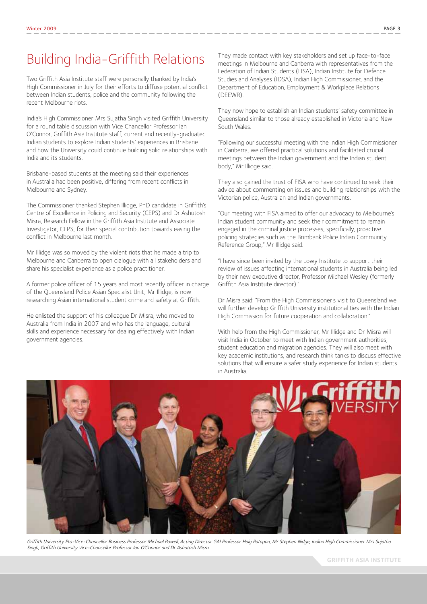# Building India-Griffith Relations

Two Griffith Asia Institute staff were personally thanked by India's High Commissioner in July for their efforts to diffuse potential conflict between Indian students, police and the community following the recent Melbourne riots.

India's High Commissioner Mrs Sujatha Singh visited Griffith University for a round table discussion with Vice Chancellor Professor Ian O'Connor, Griffith Asia Institute staff, current and recently-graduated Indian students to explore Indian students' experiences in Brisbane and how the University could continue building solid relationships with India and its students.

Brisbane-based students at the meeting said their experiences in Australia had been positive, differing from recent conflicts in Melbourne and Sydney.

The Commissioner thanked Stephen Illidge, PhD candidate in Griffith's Centre of Excellence in Policing and Security (CEPS) and Dr Ashutosh Misra, Research Fellow in the Griffith Asia Institute and Associate Investigator, CEPS, for their special contribution towards easing the conflict in Melbourne last month.

Mr Illidge was so moved by the violent riots that he made a trip to Melbourne and Canberra to open dialogue with all stakeholders and share his specialist experience as a police practitioner.

A former police officer of 15 years and most recently officer in charge of the Queensland Police Asian Specialist Unit, Mr Illidge, is now researching Asian international student crime and safety at Griffith.

He enlisted the support of his colleague Dr Misra, who moved to Australia from India in 2007 and who has the language, cultural skills and experience necessary for dealing effectively with Indian government agencies.

They made contact with key stakeholders and set up face-to-face meetings in Melbourne and Canberra with representatives from the Federation of Indian Students (FISA), Indian Institute for Defence Studies and Analyses (IDSA), Indian High Commissioner, and the Department of Education, Employment & Workplace Relations (DEEWR).

They now hope to establish an Indian students' safety committee in Queensland similar to those already established in Victoria and New South Wales.

"Following our successful meeting with the Indian High Commissioner in Canberra, we offered practical solutions and facilitated crucial meetings between the Indian government and the Indian student body," Mr Illidge said.

They also gained the trust of FISA who have continued to seek their advice about commenting on issues and building relationships with the Victorian police, Australian and Indian governments.

"Our meeting with FISA aimed to offer our advocacy to Melbourne's Indian student community and seek their commitment to remain engaged in the criminal justice processes, specifically, proactive policing strategies such as the Brimbank Police Indian Community Reference Group," Mr Illidge said.

"I have since been invited by the Lowy Institute to support their review of issues affecting international students in Australia being led by their new executive director, Professor Michael Wesley (formerly Griffith Asia Institute director)."

Dr Misra said: "From the High Commissioner's visit to Queensland we will further develop Griffith University institutional ties with the Indian High Commission for future cooperation and collaboration."

With help from the High Commissioner, Mr Illidge and Dr Misra will visit India in October to meet with Indian government authorities, student education and migration agencies. They will also meet with key academic institutions, and research think tanks to discuss effective solutions that will ensure a safer study experience for Indian students in Australia.



*Griffith University Pro-Vice-Chancellor Business Professor Michael Powell, Acting Director GAI Professor Haig Patapan, Mr Stephen Illidge, Indian High Commissioner Mrs Sujatha Singh, Griffith University Vice-Chancellor Professor Ian O'Connor and Dr Ashutosh Misra.*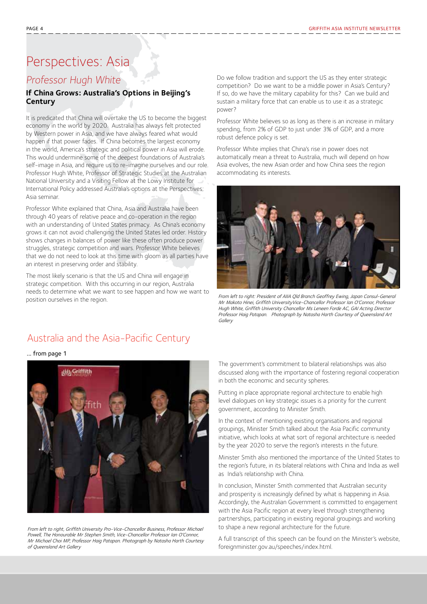## Perspectives: Asia

#### Professor Hugh White

#### **If China Grows: Australia's Options in Beijing's Century**

It is predicated that China will overtake the US to become the biggest economy in the world by 2020. Australia has always felt protected by Western power in Asia, and we have always feared what would happen if that power fades. If China becomes the largest economy in the world, America's strategic and political power in Asia will erode. This would undermine some of the deepest foundations of Australia's self-image in Asia, and require us to re-imagine ourselves and our role. Professor Hugh White, Professor of Strategic Studies at the Australian National University and a Visiting Fellow at the Lowy Institute for International Policy addressed Australia's options at the Perspectives: Asia seminar.

Professor White explained that China, Asia and Australia have been through 40 years of relative peace and co-operation in the region with an understanding of United States primacy. As China's economy grows it can not avoid challenging the United States led order. History shows changes in balances of power like these often produce power struggles, strategic competition and wars. Professor White believes that we do not need to look at this time with gloom as all parties have an interest in preserving order and stability.

The most likely scenario is that the US and China will engage in strategic competition. With this occurring in our region, Australia needs to determine what we want to see happen and how we want to position ourselves in the region.

Do we follow tradition and support the US as they enter strategic competition? Do we want to be a middle power in Asia's Century? If so, do we have the military capability for this? Can we build and sustain a military force that can enable us to use it as a strategic power?

Professor White believes so as long as there is an increase in military spending, from 2% of GDP to just under 3% of GDP, and a more robust defence policy is set.

Professor White implies that China's rise in power does not automatically mean a threat to Australia, much will depend on how Asia evolves, the new Asian order and how China sees the region accommodating its interests.



*From left to right: President of AIIA Qld Branch Geoffrey Ewing, Japan Consul-General Mr Makoto Hinei, Griffith UniversityVice-Chancellor Professor Ian O'Connor, Professor Hugh White, Griffith University Chancellor Ms Leneen Forde AC, GAI Acting Director Professor Haig Patapan. Photograph by Natasha Harth Courtesy of Queensland Art Gallery*

## Australia and the Asia-Pacific Century

#### ... from page 1



*From left to right, Griffith University Pro-Vice-Chancellor Business, Professor Michael Powell, The Honourable Mr Stephen Smith, Vice-Chancellor Professor Ian O'Connor, Mr Michael Choi MP, Professor Haig Patapan. Photograph by Natasha Harth Courtesy of Queensland Art Gallery*

The government's commitment to bilateral relationships was also discussed along with the importance of fostering regional cooperation in both the economic and security spheres.

Putting in place appropriate regional architecture to enable high level dialogues on key strategic issues is a priority for the current government, according to Minister Smith.

In the context of mentioning existing organisations and regional groupings, Minister Smith talked about the Asia Pacific community initiative, which looks at what sort of regional architecture is needed by the year 2020 to serve the region's interests in the future.

Minister Smith also mentioned the importance of the United States to the region's future, in its bilateral relations with China and India as well as India's relationship with China.

In conclusion, Minister Smith commented that Australian security and prosperity is increasingly defined by what is happening in Asia. Accordingly, the Australian Government is committed to engagement with the Asia Pacific region at every level through strengthening partnerships, participating in existing regional groupings and working to shape a new regional architecture for the future.

A full transcript of this speech can be found on the Minister's website, foreignminister.gov.au/speeches/index.html.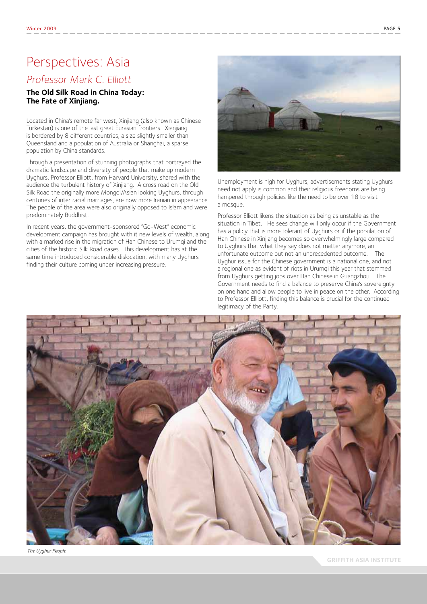## Perspectives: Asia Professor Mark C. Elliott

#### **The Old Silk Road in China Today: The Fate of Xinjiang.**

Located in China's remote far west, Xinjiang (also known as Chinese Turkestan) is one of the last great Eurasian frontiers. Xianjiang is bordered by 8 different countries, a size slightly smaller than Queensland and a population of Australia or Shanghai, a sparse population by China standards.

Through a presentation of stunning photographs that portrayed the dramatic landscape and diversity of people that make up modern Uyghurs, Professor Elliott, from Harvard University, shared with the audience the turbulent history of Xinjiang. A cross road on the Old Silk Road the originally more Mongol/Asian looking Uyghurs, through centuries of inter racial marriages, are now more Iranian in appearance. The people of the area were also originally opposed to Islam and were predominately Buddhist.

In recent years, the government-sponsored "Go-West" economic development campaign has brought with it new levels of wealth, along with a marked rise in the migration of Han Chinese to Urumqi and the cities of the historic Silk Road oases. This development has at the same time introduced considerable dislocation, with many Uyghurs finding their culture coming under increasing pressure.



Unemployment is high for Uyghurs, advertisements stating Uyghurs need not apply is common and their religious freedoms are being hampered through policies like the need to be over 18 to visit a mosque.

Professor Elliott likens the situation as being as unstable as the situation in Tibet. He sees change will only occur if the Government has a policy that is more tolerant of Uyghurs or if the population of Han Chinese in Xinjiang becomes so overwhelmingly large compared to Uyghurs that what they say does not matter anymore, an unfortunate outcome but not an unprecedented outcome. The Uyghur issue for the Chinese government is a national one, and not a regional one as evident of riots in Urumqi this year that stemmed from Uyghurs getting jobs over Han Chinese in Guangzhou. The Government needs to find a balance to preserve China's sovereignty on one hand and allow people to live in peace on the other. According to Professor Ellliott, finding this balance is crucial for the continued legitimacy of the Party.



*The Uyghur People*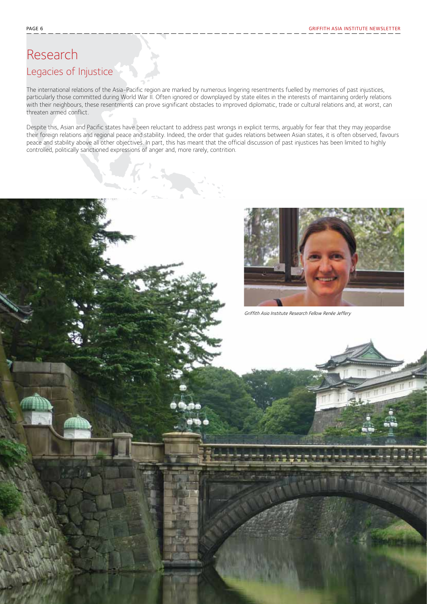# Research Legacies of Injustice

The international relations of the Asia-Pacific region are marked by numerous lingering resentments fuelled by memories of past injustices, particularly those committed during World War II. Often ignored or downplayed by state elites in the interests of maintaining orderly relations with their neighbours, these resentments can prove significant obstacles to improved diplomatic, trade or cultural relations and, at worst, can threaten armed conflict.

Despite this, Asian and Pacific states have been reluctant to address past wrongs in explicit terms, arguably for fear that they may jeopardise their foreign relations and regional peace and stability. Indeed, the order that guides relations between Asian states, it is often observed, favours peace and stability above all other objectives. In part, this has meant that the official discussion of past injustices has been limited to highly controlled, politically sanctioned expressions of anger and, more rarely, contrition.



*Griffith Asia Institute Research Fellow Renée Jeffery*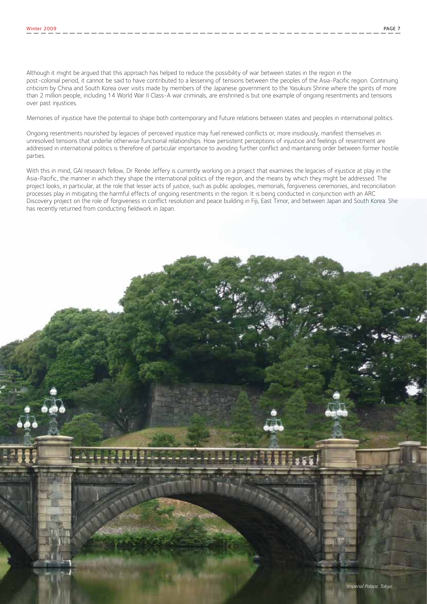Although it might be argued that this approach has helped to reduce the possibility of war between states in the region in the post-colonial period, it cannot be said to have contributed to a lessening of tensions between the peoples of the Asia-Pacific region. Continuing criticism by China and South Korea over visits made by members of the Japanese government to the Yasukuni Shrine where the spirits of more than 2 million people, including 14 World War II Class-A war criminals, are enshrined is but one example of ongoing resentments and tensions over past injustices.

Memories of injustice have the potential to shape both contemporary and future relations between states and peoples in international politics.

Ongoing resentments nourished by legacies of perceived injustice may fuel renewed conflicts or, more insidiously, manifest themselves in unresolved tensions that underlie otherwise functional relationships. How persistent perceptions of injustice and feelings of resentment are addressed in international politics is therefore of particular importance to avoiding further conflict and maintaining order between former hostile parties.

With this in mind, GAI research fellow, Dr Renée Jeffery is currently working on a project that examines the legacies of injustice at play in the Asia-Pacific, the manner in which they shape the international politics of the region, and the means by which they might be addressed. The project looks, in particular, at the role that lesser acts of justice, such as public apologies, memorials, forgiveness ceremonies, and reconciliation processes play in mitigating the harmful effects of ongoing resentments in the region. It is being conducted in conjunction with an ARC Discovery project on the role of forgiveness in conflict resolution and peace building in Fiji, East Timor, and between Japan and South Korea. She has recently returned from conducting fieldwork in Japan.

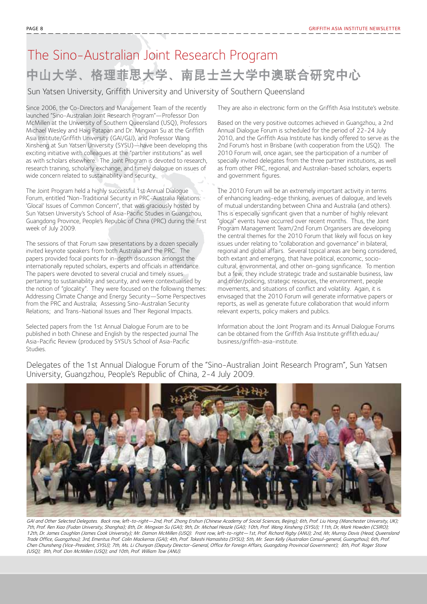# The Sino-Australian Joint Research Program 中山大学、格理菲思大学、南昆士兰大学中澳联合研究中心

Sun Yatsen University, Griffith University and University of Southern Queensland

Since 2006, the Co-Directors and Management Team of the recently launched "Sino-Australian Joint Research Program"—Professor Don McMillen at the University of Southern Queensland (USQ), Professors Michael Wesley and Haig Patapan and Dr. Mingxian Su at the Griffith Asia Institute/Griffith University (GAI/GU), and Professor Wang Xinsheng at Sun Yatsen University (SYSU)—have been developing this exciting initiative with colleagues at the "partner institutions" as well as with scholars elsewhere. The Joint Program is devoted to research, research training, scholarly exchange, and timely dialogue on issues of wide concern related to sustainability and security.

The Joint Program held a highly successful 1st Annual Dialogue Forum, entitled "Non-Traditional Security in PRC-Australia Relations: 'Glocal' Issues of Common Concern", that was graciously hosted by Sun Yatsen University's School of Asia-Pacific Studies in Guangzhou, Guangdong Province, People's Republic of China (PRC) during the first week of July 2009.

The sessions of that Forum saw presentations by a dozen specially invited keynote speakers from both Australia and the PRC. The papers provided focal points for in-depth discussion amongst the internationally reputed scholars, experts and officials in attendance. The papers were devoted to several crucial and timely issues pertaining to sustainability and security, and were contextualised by the notion of "glocality". They were focused on the following themes: Addressing Climate Change and Energy Security—Some Perspectives from the PRC and Australia; Assessing Sino-Australian Security Relations; and Trans-National Issues and Their Regional Impacts.

Selected papers from the 1st Annual Dialogue Forum are to be published in both Chinese and English by the respected journal The Asia-Pacific Review (produced by SYSU's School of Asia-Pacific Studies.

They are also in electronic form on the Griffith Asia Institute's website.

Based on the very positive outcomes achieved in Guangzhou, a 2nd Annual Dialogue Forum is scheduled for the period of 22-24 July 2010, and the Griffith Asia Institute has kindly offered to serve as the 2nd Forum's host in Brisbane (with cooperation from the USQ). The 2010 Forum will, once again, see the participation of a number of specially invited delegates from the three partner institutions, as well as from other PRC, regional, and Australian-based scholars, experts and government figures.

The 2010 Forum will be an extremely important activity in terms of enhancing leading-edge thinking, avenues of dialogue, and levels of mutual understanding between China and Australia (and others). This is especially significant given that a number of highly relevant "glocal" events have occurred over recent months. Thus, the Joint Program Management Team/2nd Forum Organisers are developing the central themes for the 2010 Forum that likely will focus on key issues under relating to "collaboration and governance" in bilateral, regional and global affairs. Several topical areas are being considered, both extant and emerging, that have political, economic, sociocultural, environmental, and other on-going significance. To mention but a few, they include strategic trade and sustainable business, law and order/policing, strategic resources, the environment, people movements, and situations of conflict and volatility. Again, it is envisaged that the 2010 Forum will generate informative papers or reports, as well as generate future collaboration that would inform relevant experts, policy makers and publics.

Information about the Joint Program and its Annual Dialogue Forums can be obtained from the Griffith Asia Institute griffith.edu.au/ business/griffith-asia-institute.



Delegates of the 1st Annual Dialogue Forum of the "Sino-Australian Joint Research Program", Sun Yatsen University, Guangzhou, People's Republic of China, 2-4 July 2009.

*GAI and Other Selected Delegates. Back row, left-to-right—2nd, Prof. Zhong Ershun (Chinese Academy of Social Sciences, Beijing); 6th, Prof. Liu Hong (Manchester University, UK); 7th, Prof. Ren Xiao (Fudan University, Shanghai); 8th, Dr. Mingxian Su (GAI); 9th, Dr. Michael Heazle (GAI); 10th, Prof. Wang Xinsheng (SYSU); 11th, Dr, Mark Howden (CSIRO); 12th, Dr. James Coughlan (James Cook University); Mr. Damon McMillen (USQ). Front row, left-to-right—1st, Prof. Richard Rigby (ANU); 2nd, Mr, Murray Davis (Head, Queensland Trade Office, Guangzhou); 3rd, Emeritus Prof. Colin Mackerras (GAI); 4th, Prof. Takeshi Hamashita (SYSU); 5th, Mr. Sean Kelly (Australian Consul-general, Guangzhou); 6th, Prof. Chen Chunsheng (Vice-President, SYSU); 7th, Ms. Li Chunyan (Deputy Director-General, Office for Foreign Affairs, Guangdong Provincial Government); 8th, Prof. Roger Stone (USQ); 9th, Prof. Don McMillen (USQ); and 10th, Prof. William Tow (ANU).*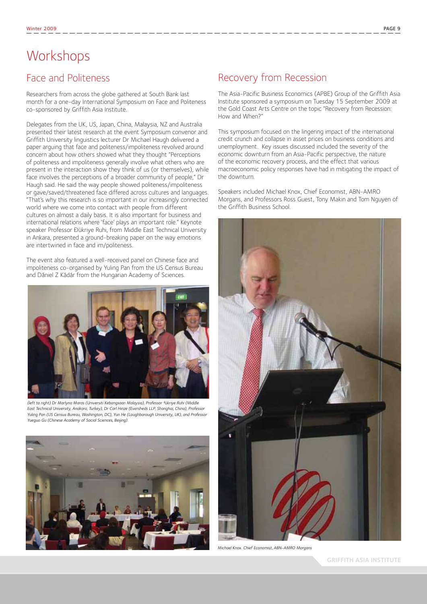# Workshops

## Face and Politeness

Researchers from across the globe gathered at South Bank last month for a one-day International Symposium on Face and Politeness co-sponsored by Griffith Asia Institute.

Delegates from the UK, US, Japan, China, Malaysia, NZ and Australia presented their latest research at the event Symposium convenor and Griffith University linguistics lecturer Dr Michael Haugh delivered a paper arguing that face and politeness/impoliteness revolved around concern about how others showed what they thought "Perceptions of politeness and impoliteness generally involve what others who are present in the interaction show they think of us (or themselves), while face involves the perceptions of a broader community of people," Dr Haugh said. He said the way people showed politeness/impoliteness or gave/saved/threatened face differed across cultures and languages. "That's why this research is so important in our increasingly connected world where we come into contact with people from different cultures on almost a daily basis. It is also important for business and international relations where 'face' plays an important role." Keynote speaker Professor Đükriye Ruhi, from Middle East Technical University in Ankara, presented a ground-breaking paper on the way emotions are intertwined in face and im/politeness.

The event also featured a well-received panel on Chinese face and impoliteness co-organised by Yuling Pan from the US Census Bureau and Dániel Z Kádár from the Hungarian Academy of Sciences.



*(left to right) Dr Marlyna Maros (Universiti Kebangsaan Malaysia), Professor ªükriye Ruhi (Middle East Technical University, Anakara, Turkey), Dr Carl Hinze (Eversheds LLP, Shanghai, China), Professor Yuling Pan (US Census Bureau, Washington, DC), Yun He (Loughborough University, UK), and Professor Yueguo Gu (Chinese Academy of Social Sciences, Beijing).*



### Recovery from Recession

The Asia-Pacific Business Economics (APBE) Group of the Griffith Asia Institute sponsored a symposium on Tuesday 15 September 2009 at the Gold Coast Arts Centre on the topic "Recovery from Recession: How and When?"

This symposium focused on the lingering impact of the international credit crunch and collapse in asset prices on business conditions and unemployment. Key issues discussed included the severity of the economic downturn from an Asia-Pacific perspective, the nature of the economic recovery process, and the effect that various macroeconomic policy responses have had in mitigating the impact of the downturn.

Speakers included Michael Knox, Chief Economist, ABN-AMRO Morgans, and Professors Ross Guest, Tony Makin and Tom Nguyen of the Griffith Business School.



*Michael Knox. Chief Economist, ABN-AMRO Morgans* 

**GRIFFITH ASIA INSTITUTE**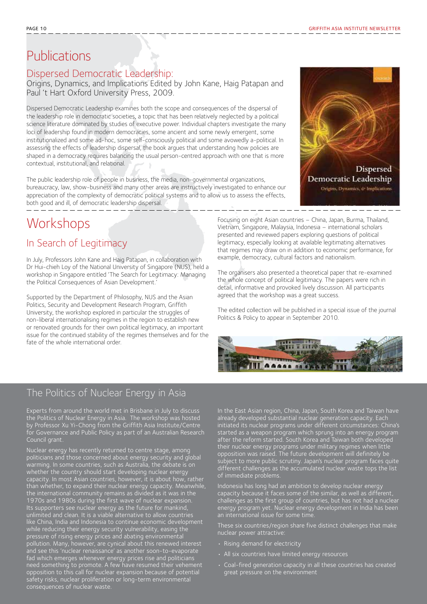# Publications

### Dispersed Democratic Leadership:

Origins, Dynamics, and Implications Edited by John Kane, Haig Patapan and Paul 't Hart Oxford University Press, 2009.

Dispersed Democratic Leadership examines both the scope and consequences of the dispersal of the leadership role in democratic societies, a topic that has been relatively neglected by a political science literature dominated by studies of executive power. Individual chapters investigate the many loci of leadership found in modern democracies, some ancient and some newly emergent, some institutionalized and some ad-hoc, some self-consciously political and some avowedly a-political. In assessing the effects of leadership dispersal, the book argues that understanding how policies are shaped in a democracy requires balancing the usual person-centred approach with one that is more contextual, institutional, and relational.

The public leadership role of people in business, the media, non-governmental organizations, bureaucracy, law, show-business and many other areas are instructively investigated to enhance our appreciation of the complexity of democratic political systems and to allow us to assess the effects, both good and ill, of democratic leadership dispersal.

# **Workshops**

## In Search of Legitimacy

In July, Professors John Kane and Haig Patapan, in collaboration with Dr Hui-chieh Loy of the National University of Singapore (NUS), held a workshop in Singapore entitled 'The Search for Legitimacy: Managing the Political Consequences of Asian Development.'

Supported by the Department of Philosophy, NUS and the Asian Politics, Security and Development Research Program, Griffith University, the workshop explored in particular the struggles of non-liberal internationalising regimes in the region to establish new or renovated grounds for their own political legitimacy, an important issue for the continued stability of the regimes themselves and for the fate of the whole international order.

Focusing on eight Asian countries – China, Japan, Burma, Thailand, Vietnam, Singapore, Malaysia, Indonesia – international scholars presented and reviewed papers exploring questions of political legitimacy, especially looking at available legitimating alternatives that regimes may draw on in addition to economic performance, for example, democracy, cultural factors and nationalism.

The organisers also presented a theoretical paper that re-examined the whole concept of political legitimacy. The papers were rich in detail, informative and provoked lively discussion. All participants agreed that the workshop was a great success.

The edited collection will be published in a special issue of the journal Politics & Policy to appear in September 2010.



## The Politics of Nuclear Energy in Asia

Experts from around the world met in Brisbane in July to discuss the Politics of Nuclear Energy in Asia. The workshop was hosted by Professor Xu Yi-Chong from the Griffith Asia Institute/Centre for Governance and Public Policy as part of an Australian Research Council grant.

Nuclear energy has recently returned to centre stage, among politicians and those concerned about energy security and global warming. In some countries, such as Australia, the debate is on whether the country should start developing nuclear energy capacity. In most Asian countries, however, it is about how, rather than whether, to expand their nuclear energy capacity. Meanwhile, the international community remains as divided as it was in the 1970s and 1980s during the first wave of nuclear expansion. Its supporters see nuclear energy as the future for mankind, unlimited and clean. It is a viable alternative to allow countries like China, India and Indonesia to continue economic development while reducing their energy security vulnerability, easing the pressure of rising energy prices and abating environmental pollution. Many, however, are cynical about this renewed interest and see this 'nuclear renaissance' as another soon-to-evaporate fad which emerges whenever energy prices rise and politicians need something to promote. A few have resumed their vehement opposition to this call for nuclear expansion because of potential safety risks, nuclear proliferation or long-term environmental consequences of nuclear waste.

In the East Asian region, China, Japan, South Korea and Taiwan have already developed substantial nuclear generation capacity. Each initiated its nuclear programs under different circumstances: China's started as a weapon program which sprung into an energy program after the reform started. South Korea and Taiwan both developed their nuclear energy programs under military regimes when little opposition was raised. The future development will definitely be subject to more public scrutiny. Japan's nuclear program faces quite different challenges as the accumulated nuclear waste tops the list of immediate problems.

Indonesia has long had an ambition to develop nuclear energy capacity because it faces some of the similar, as well as different, challenges as the first group of countries, but has not had a nuclear energy program yet. Nuclear energy development in India has been an international issue for some time.

These six countries/region share five distinct challenges that make nuclear power attractive:

- • Rising demand for electricity
- All six countries have limited energy resources
- Coal-fired generation capacity in all these countries has created great pressure on the environment

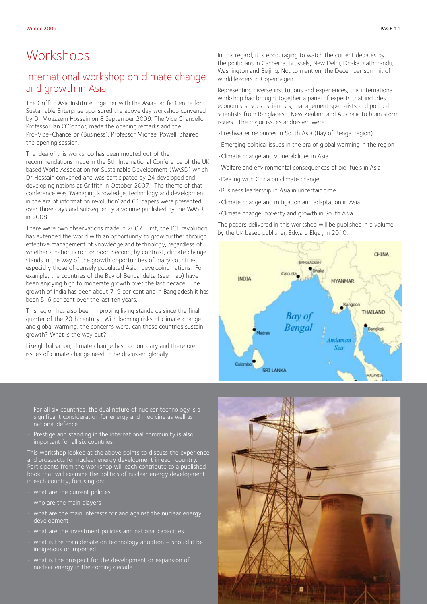# **Workshops**

## International workshop on climate change and growth in Asia

The Griffith Asia Institute together with the Asia-Pacific Centre for Sustainable Enterprise sponsored the above day workshop convened by Dr Moazzem Hossain on 8 September 2009. The Vice Chancellor, Professor Ian O'Connor, made the opening remarks and the Pro-Vice-Chancellor (Business), Professor Michael Powell, chaired the opening session.

The idea of this workshop has been mooted out of the recommendations made in the 5th International Conference of the UK based World Association for Sustainable Development (WASD) which Dr Hossain convened and was participated by 24 developed and developing nations at Griffith in October 2007. The theme of that conference was 'Managing knowledge, technology and development in the era of information revolution' and 61 papers were presented over three days and subsequently a volume published by the WASD in 2008.

There were two observations made in 2007. First, the ICT revolution has extended the world with an opportunity to grow further through effective management of knowledge and technology, regardless of whether a nation is rich or poor. Second, by contrast, climate change stands in the way of the growth opportunities of many countries, especially those of densely populated Asian developing nations. For example, the countries of the Bay of Bengal delta (see map) have been enjoying high to moderate growth over the last decade. The growth of India has been about 7-9 per cent and in Bangladesh it has been 5-6 per cent over the last ten years.

This region has also been improving living standards since the final quarter of the 20th century. With looming risks of climate change and global warming, the concerns were, can these countries sustain growth? What is the way out?

Like globalisation, climate change has no boundary and therefore, issues of climate change need to be discussed globally.

- For all six countries, the dual nature of nuclear technology is a significant consideration for energy and medicine as well as national defence
- Prestige and standing in the international community is also important for all six countries

This workshop looked at the above points to discuss the experience and prospects for nuclear energy development in each country. Participants from the workshop will each contribute to a published book that will examine the politics of nuclear energy development in each country, focusing on:

- what are the current policies
- $\cdot$  who are the main players
- what are the main interests for and against the nuclear energy development
- what are the investment policies and national capacities
- $\cdot$  what is the main debate on technology adoption should it be indigenous or imported
- $\cdot$  what is the prospect for the development or expansion of nuclear energy in the coming decade

In this regard, it is encouraging to watch the current debates by the politicians in Canberra, Brussels, New Delhi, Dhaka, Kathmandu, Washington and Beijing. Not to mention, the December summit of world leaders in Copenhagen.

Representing diverse institutions and experiences, this international workshop had brought together a panel of experts that includes economists, social scientists, management specialists and political scientists from Bangladesh, New Zealand and Australia to brain storm issues. The major issues addressed were:

- •Freshwater resources in South Asia (Bay of Bengal region)
- •Emerging political issues in the era of global warming in the region
- •Climate change and vulnerabilities in Asia
- •Welfare and environmental consequences of bio-fuels in Asia
- •Dealing with China on climate change
- •Business leadership in Asia in uncertain time
- •Climate change and mitigation and adaptation in Asia
- •Climate change, poverty and growth in South Asia

The papers delivered in this workshop will be published in a volume by the UK based publisher, Edward Elgar, in 2010.